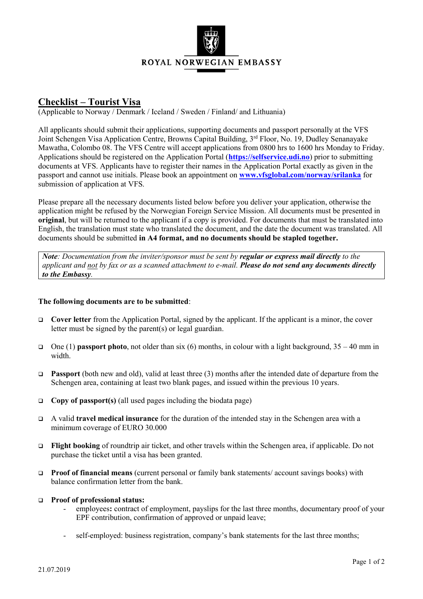

## **Checklist – Tourist Visa**

(Applicable to Norway / Denmark / Iceland / Sweden / Finland/ and Lithuania)

All applicants should submit their applications, supporting documents and passport personally at the VFS Joint Schengen Visa Application Centre, Browns Capital Building, 3<sup>rd</sup> Floor, No. 19, Dudley Senanayake Mawatha, Colombo 08. The VFS Centre will accept applications from 0800 hrs to 1600 hrs Monday to Friday. Applications should be registered on the Application Portal (**[https://selfservice.udi.no](https://selfservice.udi.no/)**) prior to submitting documents at VFS. Applicants have to register their names in the Application Portal exactly as given in the passport and cannot use initials. Please book an appointment on **[www.vfsglobal.com/norway/srilanka](http://www.vfsglobal.com/norway/srilanka)** for submission of application at VFS.

Please prepare all the necessary documents listed below before you deliver your application, otherwise the application might be refused by the Norwegian Foreign Service Mission. All documents must be presented in **original**, but will be returned to the applicant if a copy is provided. For documents that must be translated into English, the translation must state who translated the document, and the date the document was translated. All documents should be submitted **in A4 format, and no documents should be stapled together.**

*Note: Documentation from the inviter/sponsor must be sent by <i>regular or express mail directly to the applicant and not by fax or as a scanned attachment to e-mail. Please do not send any documents directly to the Embassy.*

## **The following documents are to be submitted**:

- **Cover letter** from the Application Portal, signed by the applicant. If the applicant is a minor, the cover letter must be signed by the parent(s) or legal guardian.
- One (1) **passport photo**, not older than six (6) months, in colour with a light background,  $35 40$  mm in width.
- **Passport** (both new and old), valid at least three (3) months after the intended date of departure from the Schengen area, containing at least two blank pages, and issued within the previous 10 years.
- **Copy of passport(s)** (all used pages including the biodata page)
- A valid **travel medical insurance** for the duration of the intended stay in the Schengen area with a minimum coverage of EURO 30.000
- **Flight booking** of roundtrip air ticket, and other travels within the Schengen area, if applicable. Do not purchase the ticket until a visa has been granted.
- **Proof of financial means** (current personal or family bank statements/ account savings books) with balance confirmation letter from the bank.

## **Proof of professional status:**

- employees**:** contract of employment, payslips for the last three months, documentary proof of your EPF contribution, confirmation of approved or unpaid leave;
- self-employed: business registration, company's bank statements for the last three months;